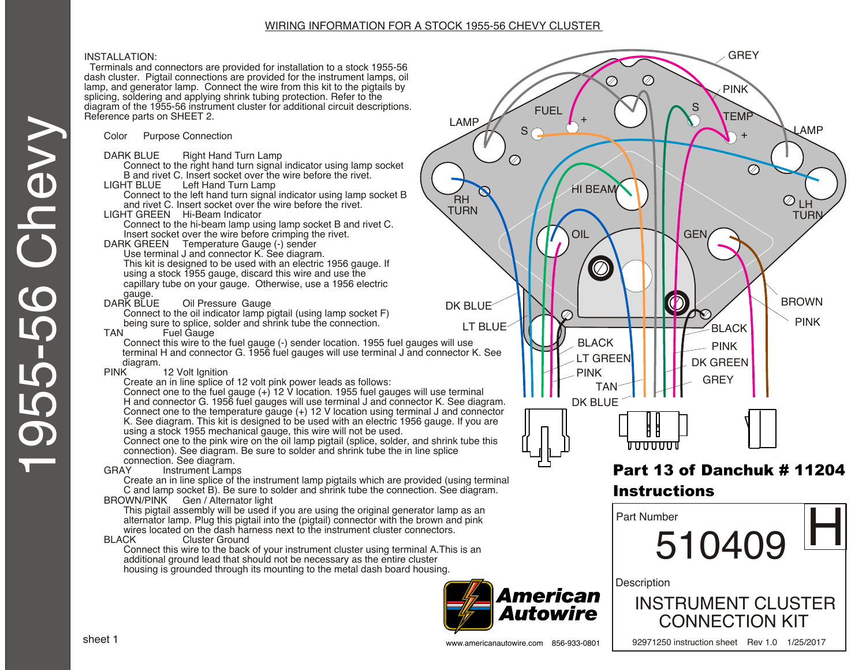#### WIRING INFORMATION FOR A STOCK 1955-56 CHEVY CLUSTER

#### INSTALLATION:

 Terminals and connectors are provided for installation to a stock 1955-56 dash cluster. Pigtail connections are provided for the instrument lamps, oil lamp, and generator lamp. Connect the wire from this kit to the pigtails by splicing, soldering and applying shrink tubing protection. Refer to the diagram of the 1955-56 instrument cluster for additional circuit descriptions. Reference parts on SHEET 2.

Color Purpose Connection

- DARK BLUE Right Hand Turn Lamp
- Connect to the right hand turn signal indicator using lamp socket B and rivet C. Insert socket over the wire before the rivet.<br>I IGHT BLUF Left Hand Turn Lamp
- Left Hand Turn Lamp
	- Connect to the left hand turn signal indicator using lamp socket B and rivet C. Insert socket over the wire before the rivet.
- LIGHT GREEN Hi-Beam Indicator
	- Connect to the hi-beam lamp using lamp socket B and rivet C. Insert socket over the wire before crimping the rivet.
- DARK GREEN Temperature Gauge (-) sender
	- Use terminal J and connector K. See diagram. This kit is designed to be used with an electric 1956 gauge. If using a stock 1955 gauge, discard this wire and use the capillary tube on your gauge. Otherwise, use a 1956 electric
- gauge.<br>DARK BLUE **Oil Pressure Gauge**

Connect to the oil indicator lamp pigtail (using lamp socket F) being sure to splice, solder and shrink tube the connection.<br>TAN Fuel Gauge

Fuel Gauge

Connect this wire to the fuel gauge (-) sender location. 1955 fuel gauges will use terminal H and connector G. 1956 fuel gauges will use terminal J and connector K. See

diagram.<br>PINK 12 Volt Ignition

Create an in line splice of 12 volt pink power leads as follows:

Connect one to the fuel gauge (+) 12 V location. 1955 fuel gauges will use terminal H and connector G. 1956 fuel gauges will use terminal J and connector K. See diagram. Connect one to the temperature gauge (+) 12 V location using terminal J and connector K. See diagram. This kit is designed to be used with an electric 1956 gauge. If you are using a stock 1955 mechanical gauge, this wire will not be used.

Connect one to the pink wire on the oil lamp pigtail (splice, solder, and shrink tube this connection). See diagram. Be sure to solder and shrink tube the in line splice connection. See diagram.<br>GRAY lnstrument Lamp

Instrument Lamps

Create an in line splice of the instrument lamp pigtails which are provided (using terminal C and lamp socket B). Be sure to solder and shrink tube the connection. See diagram. BROWN/PINK Gen / Alternator light

This pigtail assembly will be used if you are using the original generator lamp as an alternator lamp. Plug this pigtail into the (pigtail) connector with the brown and pink wires located on the dash harness next to the instrument cluster connectors.<br>BLACK Cluster Ground

Cluster Ground

Connect this wire to the back of your instrument cluster using terminal A.This is an additional ground lead that should not be necessary as the entire cluster housing is grounded through its mounting to the metal dash board housing.





# Part 13 of Danchuk # 11204 Instructions



92971250 instruction sheet Rev 1.0 1/25/2017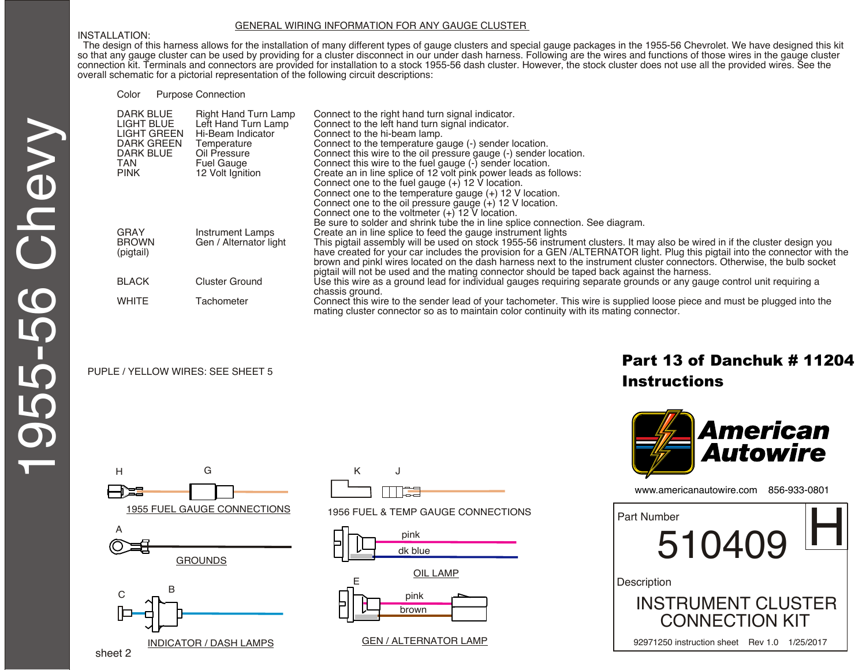#### GENERAL WIRING INFORMATION FOR ANY GAUGE CLUSTER

#### INSTALLATION:

 The design of this harness allows for the installation of many different types of gauge clusters and special gauge packages in the 1955-56 Chevrolet. We have designed this kit so that any gauge cluster can be used by providing for a cluster disconnect in our under dash harness. Following are the wires and functions of those wires in the gauge cluster connection kit. Terminals and connectors are provided for installation to a stock 1955-56 dash cluster. However, the stock cluster does not use all the provided wires. See the overall schematic for a pictorial representation of the following circuit descriptions:

Color Purpose Connection

| <b>DARK BLUE</b>  | <b>Right Hand Turn Lamp</b> | Connect to the right hand turn signal indicator.                                                                           |
|-------------------|-----------------------------|----------------------------------------------------------------------------------------------------------------------------|
| <b>LIGHT BLUE</b> | Left Hand Turn Lamp         | Connect to the left hand turn signal indicator.                                                                            |
| LIGHT GREEN       | Hi-Beam Indicator           | Connect to the hi-beam lamp.                                                                                               |
| <b>DARK GREEN</b> | Temperature                 | Connect to the temperature gauge (-) sender location.                                                                      |
| <b>DARK BLUE</b>  | Oil Pressure                | Connect this wire to the oil pressure gauge (-) sender location.                                                           |
| TAN               | <b>Fuel Gauge</b>           | Connect this wire to the fuel gauge (-) sender location.                                                                   |
| <b>PINK</b>       | 12 Volt Ignition            | Create an in line splice of 12 volt pink power leads as follows:                                                           |
|                   |                             | Connect one to the fuel gauge $(+)$ 12 V location.                                                                         |
|                   |                             | Connect one to the temperature gauge $(+)$ 12 V location.                                                                  |
|                   |                             | Connect one to the oil pressure gauge $(+)$ 12 V location.                                                                 |
|                   |                             | Connect one to the voltmeter (+) 12 V location.                                                                            |
|                   |                             | Be sure to solder and shrink tube the in line splice connection. See diagram.                                              |
| GRAY              | <b>Instrument Lamps</b>     | Create an in line splice to feed the gauge instrument lights                                                               |
| <b>BROWN</b>      | Gen / Alternator light      | This pigtail assembly will be used on stock 1955-56 instrument clusters. It may also be wired in if the cluster design you |
| (pigtail)         |                             | have created for your car includes the provision for a GEN/ALTERNATOR light. Plug this pigtail into the connector with the |
|                   |                             | brown and pinkl wires located on the dash harness next to the instrument cluster connectors. Otherwise, the bulb socket    |
|                   |                             | pigtail will not be used and the mating connector should be taped back against the harness.                                |
| <b>BLACK</b>      | <b>Cluster Ground</b>       | Use this wire as a ground lead for individual gauges requiring separate grounds or any gauge control unit requiring a      |
|                   |                             | chassis ground.                                                                                                            |
| <b>WHITE</b>      | Tachometer                  | Connect this wire to the sender lead of your tachometer. This wire is supplied loose piece and must be plugged into the    |
|                   |                             | mating cluster connector so as to maintain color continuity with its mating connector.                                     |

#### PUPLE / YELLOW WIRES: SEE SHEET 5

# Part 13 of Danchuk # 11204 **Instructions**







#### 1955 FUEL GAUGE CONNECTIONS 1956 FUEL & TEMP GAUGE CONNECTIONS



#### GEN / ALTERNATOR LAMP

www.americanautowire.com 856-933-0801 510409 INSTRUMENT CLUSTER CONNECTION KIT **Description** Part Number  $510409$   $\blacksquare$ 

92971250 instruction sheet Rev 1.0 1/25/2017

1955-56 Chevy 55-56 Chevy

INDICATOR / DASH LAMPS

sheet 2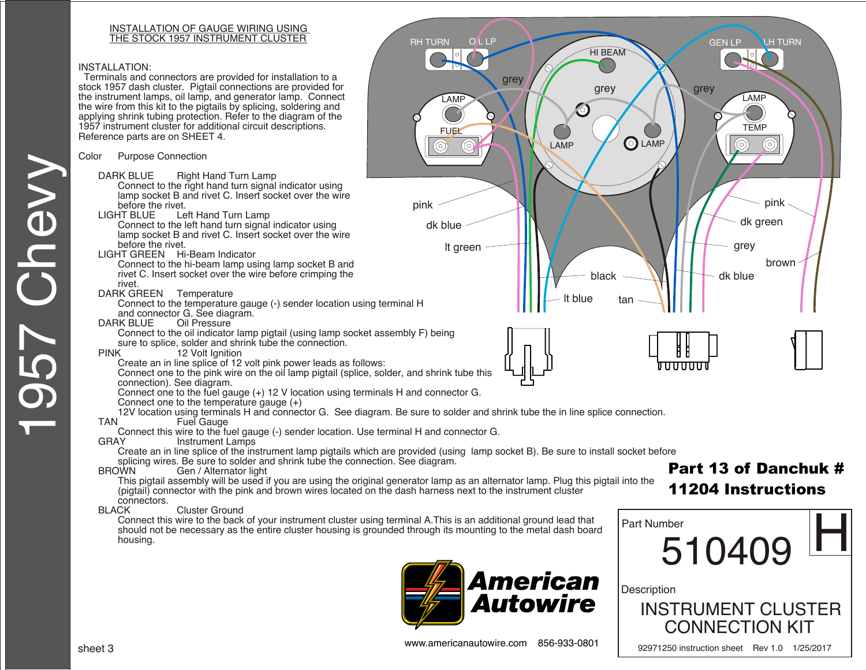# INSTALLATION OF GAUGE WIRING USING

#### INSTALLATION:

 Terminals and connectors are provided for installation to a stock 1957 dash cluster. Pigtail connections are provided for the instrument lamps, oil lamp, and generator lamp. Connect the wire from this kit to the pigtails by splicing, soldering and applying shrink tubing protection. Refer to the diagram of the 1957 instrument cluster for additional circuit descriptions. Reference parts are on SHEET 4.

#### Color Purpose Connection

- DARK BLUE Right Hand Turn Lamp Connect to the right hand turn signal indicator using lamp socket B and rivet C. Insert socket over the wire before the rivet.<br>LIGHT BLUE Le
- Left Hand Turn Lamp Connect to the left hand turn signal indicator using lamp socket B and rivet C. Insert socket over the wire before the rivet.
- LIGHT GREEN Hi-Beam Indicator
	- Connect to the hi-beam lamp using lamp socket B and rivet C. Insert socket over the wire before crimping the rivet.
- DARK GREEN Temperature
	- Connect to the temperature gauge (-) sender location using terminal H and connector G. See diagram.
- DARK BLUE Oil Pressure
	- Connect to the oil indicator lamp pigtail (using lamp socket assembly F) being sure to splice, solder and shrink tube the connection.
- PINK 12 Volt Ignition
	- Create an in line splice of 12 volt pink power leads as follows:
	- Connect one to the pink wire on the oil lamp pigtail (splice, solder, and shrink tube this connection). See diagram.
	- Connect one to the fuel gauge (+) 12 V location using terminals H and connector G.
	- Connect one to the temperature gauge  $(+)$
- 12V location using terminals H and connector G. See diagram. Be sure to solder and shrink tube the in line splice connection.<br>TAN Fuel Gauge

 $\circledS$ 

- **Fuel Gauge**
- Connect this wire to the fuel gauge (-) sender location. Use terminal H and connector G.
	- Instrument Lamps
	- Create an in line splice of the instrument lamp pigtails which are provided (using lamp socket B). Be sure to install socket before
- splicing wires. Be sure to solder and shrink tube the connection. See diagram.<br>BROWN Gen / Alternator light
	- Gen / Alternator light This pigtail assembly will be used if you are using the original generator lamp as an alternator lamp. Plug this pigtail into the (pigtail) connector with the pink and brown wires located on the dash harness next to the instrument cluster
- connectors.<br>BLACK
- Cluster Ground
	- Connect this wire to the back of your instrument cluster using terminal A.This is an additional ground lead that should not be necessary as the entire cluster housing is grounded through its mounting to the metal dash board housing.





# 11204 Instructions

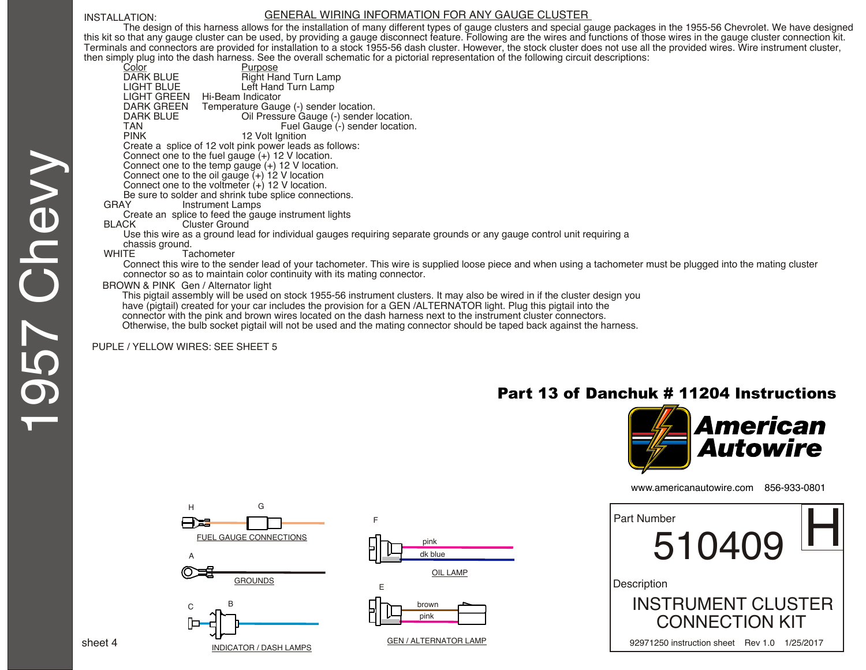#### INSTALLATION:

#### GENERAL WIRING INFORMATION FOR ANY GAUGE CLUSTER

The design of this harness allows for the installation of many different types of gauge clusters and special gauge packages in the 1955-56 Chevrolet. We have designed this kit so that any gauge cluster can be used, by providing a gauge disconnect feature. Following are the wires and functions of those wires in the gauge cluster connection kit. Terminals and connectors are provided for installation to a stock 1955-56 dash cluster. However, the stock cluster does not use all the provided wires. Wire instrument cluster, then simply plug into the dash harness. See the overall schematic for a pictorial representation of the following circuit descriptions:

| simply plug into the dash namess. See the overall schematic for a pictorial representation of the following circuit descriptions:                              |
|----------------------------------------------------------------------------------------------------------------------------------------------------------------|
| Color<br>Purpose                                                                                                                                               |
| DARK BLUE<br>Right Hand Turn Lamp                                                                                                                              |
| LIGHT BLUE<br>Left Hand Turn Lamp                                                                                                                              |
| LIGHT GREEN Hi-Beam Indicator                                                                                                                                  |
| DARK GREEN<br>Temperature Gauge (-) sender location.                                                                                                           |
| DARK BLUE<br>Oil Pressure Gauge (-) sender location.                                                                                                           |
| TAN<br>Fuel Gauge (-) sender location.                                                                                                                         |
| <b>PINK</b><br>12 Volt Ignition                                                                                                                                |
| Create a splice of 12 volt pink power leads as follows:                                                                                                        |
| Connect one to the fuel gauge $(+)$ 12 V location.                                                                                                             |
| Connect one to the temp gauge $(+)$ 12 V location.                                                                                                             |
| Connect one to the oil gauge $(+)$ 12 V location                                                                                                               |
| Connect one to the voltmeter $(+)$ 12 V location.                                                                                                              |
| Be sure to solder and shrink tube splice connections.                                                                                                          |
| <b>GRAY</b><br>Instrument Lamps                                                                                                                                |
| Create an splice to feed the gauge instrument lights                                                                                                           |
| <b>BLACK</b><br>Cluster Ground                                                                                                                                 |
| Use this wire as a ground lead for individual gauges reguiring separate grounds or any gauge control unit reguiring a                                          |
| chassis ground.                                                                                                                                                |
| <b>WHITE</b><br>Tachometer                                                                                                                                     |
| Connect this wire to the sender lead of your tachometer. This wire is supplied loose piece and when using a tachometer must be plugged into the mating cluster |
| connector so as to maintain color continuity with its mating connector.                                                                                        |
| BROWN & PINK Gen / Alternator light                                                                                                                            |
| This pigtail assembly will be used on stock 1955-56 instrument clusters. It may also be wired in if the cluster design you                                     |
| house (mintail), avantant fou unus postupidudes the musculaire foure OENI (ALTEDNATOD liebt. Dium this mintail into the                                        |

have (pigtail) created for your car includes the provision for a GEN /ALTERNATOR light. Plug this pigtail into the connector with the pink and brown wires located on the dash harness next to the instrument cluster connectors.

Otherwise, the bulb socket pigtail will not be used and the mating connector should be taped back against the harness.

#### PUPLE / YELLOW WIRES: SEE SHEET 5

## Part 13 of Danchuk # 11204 Instructions



www.americanautowire.com 856-933-0801

| Part Number<br>510409                                             |           |
|-------------------------------------------------------------------|-----------|
| Description<br><b>INSTRUMENT CLUSTER</b><br><b>CONNECTION KIT</b> |           |
| 92971250 instruction sheet<br>Rev 1.0                             | 1/25/2017 |









#### GEN / ALTERNATOR LAMP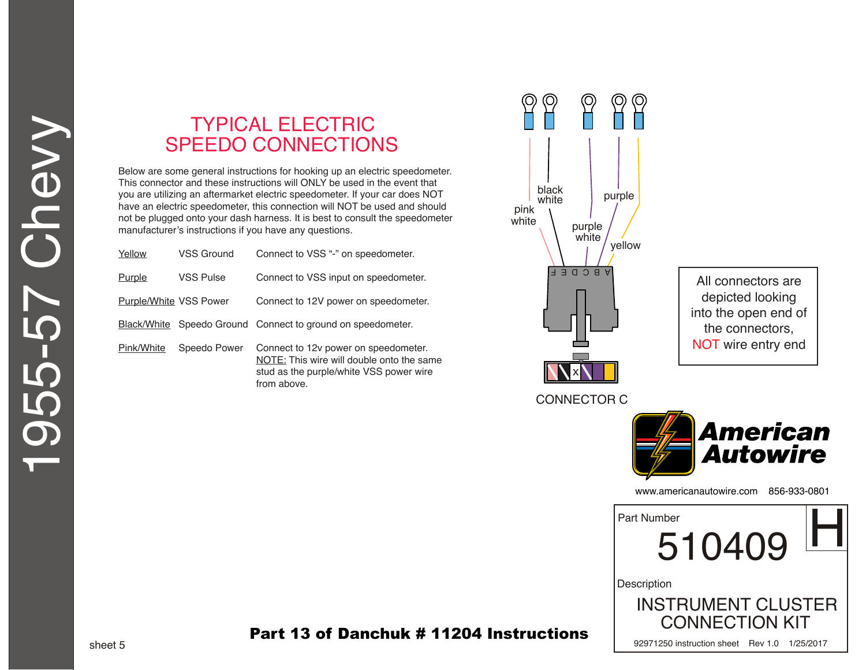# TYPICAL ELECTRIC SPEEDO CONNECTIONS

Below are some general instructions for hooking up an electric speedometer. This connector and these instructions will ONLY be used in the event that you are utilizing an aftermarket electric speedometer. If your car does NOT have an electric speedometer, this connection will NOT be used and should not be plugged onto your dash harness. It is best to consult the speedometer manufacturer's instructions if you have any questions.

| Yellow                 | VSS Ground   | Connect to VSS "-" on speedometer.                                                                                                          |
|------------------------|--------------|---------------------------------------------------------------------------------------------------------------------------------------------|
| Purple                 | VSS Pulse    | Connect to VSS input on speedometer.                                                                                                        |
| Purple/White VSS Power |              | Connect to 12V power on speedometer.                                                                                                        |
|                        |              | Black/White Speedo Ground Connect to ground on speedometer.                                                                                 |
| Pink/White             | Speedo Power | Connect to 12y power on speedometer.<br>NOTE: This wire will double onto the same<br>stud as the purple/white VSS power wire<br>from above. |



All connectors are depicted looking into the open end of the connectors, NOT wire entry end



www.americanautowire.com 856-933-0801 510409 INSTRUMENT CLUSTER CONNECTION KIT **Description** Part Number<br>510409

92971250 instruction sheet Rev 1.0 1/25/2017

### Part 13 of Danchuk # 11204 Instructions